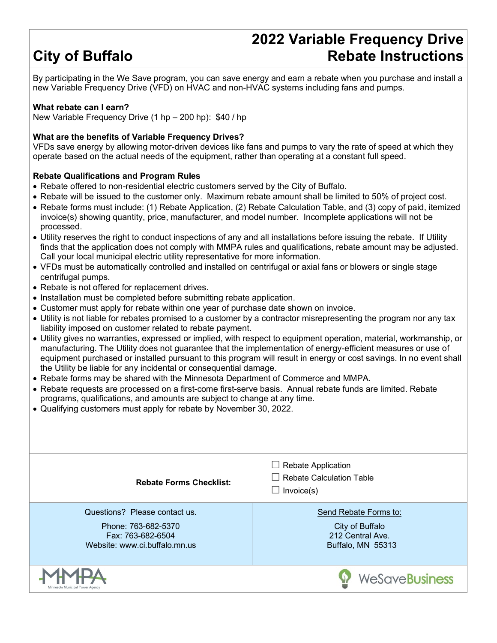# **City of Buffalo**

### **2022 Variable Frequency Drive Rebate Instructions**

By participating in the We Save program, you can save energy and earn a rebate when you purchase and install a new Variable Frequency Drive (VFD) on HVAC and non-HVAC systems including fans and pumps.

### **What rebate can I earn?**

New Variable Frequency Drive (1 hp – 200 hp): \$40 / hp

#### **What are the benefits of Variable Frequency Drives?**

VFDs save energy by allowing motor-driven devices like fans and pumps to vary the rate of speed at which they operate based on the actual needs of the equipment, rather than operating at a constant full speed.

#### **Rebate Qualifications and Program Rules**

- Rebate offered to non-residential electric customers served by the City of Buffalo.
- Rebate will be issued to the customer only. Maximum rebate amount shall be limited to 50% of project cost.
- Rebate forms must include: (1) Rebate Application, (2) Rebate Calculation Table, and (3) copy of paid, itemized invoice(s) showing quantity, price, manufacturer, and model number. Incomplete applications will not be processed.
- Utility reserves the right to conduct inspections of any and all installations before issuing the rebate. If Utility finds that the application does not comply with MMPA rules and qualifications, rebate amount may be adjusted. Call your local municipal electric utility representative for more information.
- VFDs must be automatically controlled and installed on centrifugal or axial fans or blowers or single stage centrifugal pumps.
- Rebate is not offered for replacement drives.
- Installation must be completed before submitting rebate application.
- Customer must apply for rebate within one year of purchase date shown on invoice.
- Utility is not liable for rebates promised to a customer by a contractor misrepresenting the program nor any tax liability imposed on customer related to rebate payment.
- Utility gives no warranties, expressed or implied, with respect to equipment operation, material, workmanship, or manufacturing. The Utility does not guarantee that the implementation of energy-efficient measures or use of equipment purchased or installed pursuant to this program will result in energy or cost savings. In no event shall the Utility be liable for any incidental or consequential damage.
- Rebate forms may be shared with the Minnesota Department of Commerce and MMPA.
- Rebate requests are processed on a first-come first-serve basis. Annual rebate funds are limited. Rebate programs, qualifications, and amounts are subject to change at any time.
- Qualifying customers must apply for rebate by November 30, 2022.

| <b>Rebate Forms Checklist:</b>                                                                             | $\Box$ Rebate Application<br>Rebate Calculation Table<br>Invoice(s)               |
|------------------------------------------------------------------------------------------------------------|-----------------------------------------------------------------------------------|
| Questions? Please contact us.<br>Phone: 763-682-5370<br>Fax: 763-682-6504<br>Website: www.ci.buffalo.mn.us | Send Rebate Forms to:<br>City of Buffalo<br>212 Central Ave.<br>Buffalo, MN 55313 |
| sota Municipal Power Agenc                                                                                 | WeSaveBusiness                                                                    |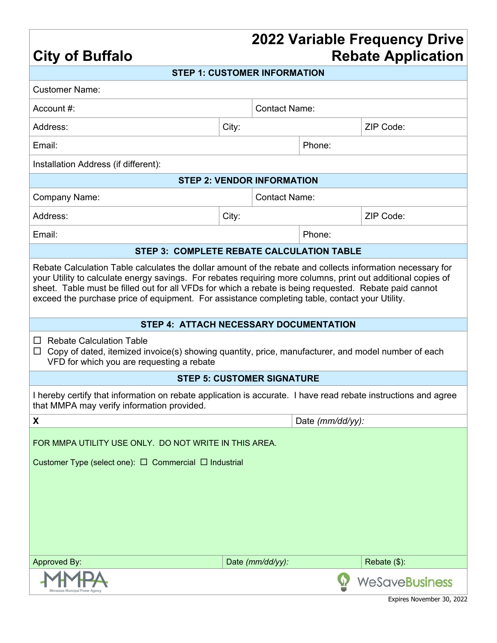### **2022 Variable Frequency Drive Rebate Application**

| <b>City of Buffalo</b>                                                                                                                                                                                                                                                                                                                                                                                                                 |                      |                                   | <b>Rebate Application</b> |                       |  |  |  |  |
|----------------------------------------------------------------------------------------------------------------------------------------------------------------------------------------------------------------------------------------------------------------------------------------------------------------------------------------------------------------------------------------------------------------------------------------|----------------------|-----------------------------------|---------------------------|-----------------------|--|--|--|--|
| <b>STEP 1: CUSTOMER INFORMATION</b>                                                                                                                                                                                                                                                                                                                                                                                                    |                      |                                   |                           |                       |  |  |  |  |
| <b>Customer Name:</b>                                                                                                                                                                                                                                                                                                                                                                                                                  |                      |                                   |                           |                       |  |  |  |  |
| Account $#$ :                                                                                                                                                                                                                                                                                                                                                                                                                          |                      | <b>Contact Name:</b>              |                           |                       |  |  |  |  |
| Address:                                                                                                                                                                                                                                                                                                                                                                                                                               | City:                |                                   |                           | ZIP Code:             |  |  |  |  |
| Email:                                                                                                                                                                                                                                                                                                                                                                                                                                 |                      |                                   | Phone:                    |                       |  |  |  |  |
| Installation Address (if different):                                                                                                                                                                                                                                                                                                                                                                                                   |                      |                                   |                           |                       |  |  |  |  |
| <b>STEP 2: VENDOR INFORMATION</b>                                                                                                                                                                                                                                                                                                                                                                                                      |                      |                                   |                           |                       |  |  |  |  |
| <b>Company Name:</b>                                                                                                                                                                                                                                                                                                                                                                                                                   | <b>Contact Name:</b> |                                   |                           |                       |  |  |  |  |
| Address:                                                                                                                                                                                                                                                                                                                                                                                                                               | City:                |                                   |                           | ZIP Code:             |  |  |  |  |
| Email:                                                                                                                                                                                                                                                                                                                                                                                                                                 |                      |                                   | Phone:                    |                       |  |  |  |  |
| <b>STEP 3: COMPLETE REBATE CALCULATION TABLE</b>                                                                                                                                                                                                                                                                                                                                                                                       |                      |                                   |                           |                       |  |  |  |  |
| Rebate Calculation Table calculates the dollar amount of the rebate and collects information necessary for<br>your Utility to calculate energy savings. For rebates requiring more columns, print out additional copies of<br>sheet. Table must be filled out for all VFDs for which a rebate is being requested. Rebate paid cannot<br>exceed the purchase price of equipment. For assistance completing table, contact your Utility. |                      |                                   |                           |                       |  |  |  |  |
| STEP 4: ATTACH NECESSARY DOCUMENTATION                                                                                                                                                                                                                                                                                                                                                                                                 |                      |                                   |                           |                       |  |  |  |  |
| <b>Rebate Calculation Table</b><br>ப<br>Copy of dated, itemized invoice(s) showing quantity, price, manufacturer, and model number of each<br>$\Box$<br>VFD for which you are requesting a rebate                                                                                                                                                                                                                                      |                      |                                   |                           |                       |  |  |  |  |
|                                                                                                                                                                                                                                                                                                                                                                                                                                        |                      | <b>STEP 5: CUSTOMER SIGNATURE</b> |                           |                       |  |  |  |  |
| I hereby certify that information on rebate application is accurate. I have read rebate instructions and agree<br>that MMPA may verify information provided.                                                                                                                                                                                                                                                                           |                      |                                   |                           |                       |  |  |  |  |
| X                                                                                                                                                                                                                                                                                                                                                                                                                                      |                      |                                   | Date (mm/dd/yy):          |                       |  |  |  |  |
| FOR MMPA UTILITY USE ONLY. DO NOT WRITE IN THIS AREA.                                                                                                                                                                                                                                                                                                                                                                                  |                      |                                   |                           |                       |  |  |  |  |
| Customer Type (select one): $\Box$ Commercial $\Box$ Industrial                                                                                                                                                                                                                                                                                                                                                                        |                      |                                   |                           |                       |  |  |  |  |
|                                                                                                                                                                                                                                                                                                                                                                                                                                        |                      |                                   |                           |                       |  |  |  |  |
|                                                                                                                                                                                                                                                                                                                                                                                                                                        |                      |                                   |                           |                       |  |  |  |  |
|                                                                                                                                                                                                                                                                                                                                                                                                                                        |                      |                                   |                           |                       |  |  |  |  |
|                                                                                                                                                                                                                                                                                                                                                                                                                                        |                      |                                   |                           |                       |  |  |  |  |
|                                                                                                                                                                                                                                                                                                                                                                                                                                        |                      |                                   |                           |                       |  |  |  |  |
| Approved By:                                                                                                                                                                                                                                                                                                                                                                                                                           |                      | Date (mm/dd/yy):                  |                           | Rebate (\$):          |  |  |  |  |
|                                                                                                                                                                                                                                                                                                                                                                                                                                        |                      |                                   |                           | <b>WeSaveBusiness</b> |  |  |  |  |